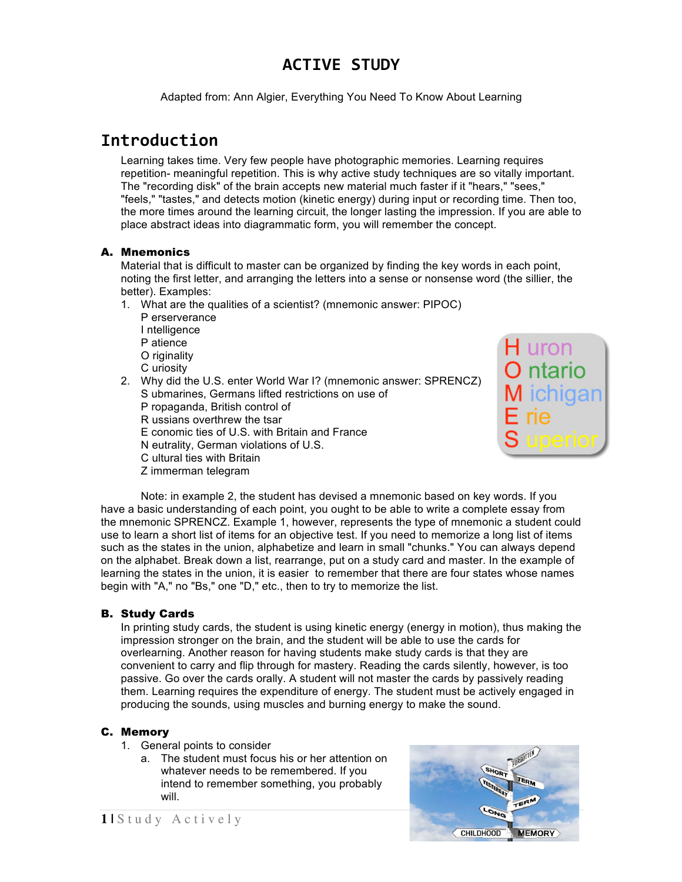## **ACTIVE STUDY**

Adapted from: Ann Algier, Everything You Need To Know About Learning

## **Introduction**

Learning takes time. Very few people have photographic memories. Learning requires repetition- meaningful repetition. This is why active study techniques are so vitally important. The "recording disk" of the brain accepts new material much faster if it "hears," "sees," "feels," "tastes," and detects motion (kinetic energy) during input or recording time. Then too, the more times around the learning circuit, the longer lasting the impression. If you are able to place abstract ideas into diagrammatic form, you will remember the concept.

#### A. Mnemonics

Material that is difficult to master can be organized by finding the key words in each point, noting the first letter, and arranging the letters into a sense or nonsense word (the sillier, the better). Examples:

- 1. What are the qualities of a scientist? (mnemonic answer: PIPOC)
	- P erserverance I ntelligence P atience O riginality
	- C uriosity
- 2. Why did the U.S. enter World War I? (mnemonic answer: SPRENCZ) S ubmarines, Germans lifted restrictions on use of
	- P ropaganda, British control of
	- R ussians overthrew the tsar
	- E conomic ties of U.S. with Britain and France
	- N eutrality, German violations of U.S.
	- C ultural ties with Britain
	- Z immerman telegram

Note: in example 2, the student has devised a mnemonic based on key words. If you have a basic understanding of each point, you ought to be able to write a complete essay from the mnemonic SPRENCZ. Example 1, however, represents the type of mnemonic a student could use to learn a short list of items for an objective test. If you need to memorize a long list of items such as the states in the union, alphabetize and learn in small "chunks." You can always depend on the alphabet. Break down a list, rearrange, put on a study card and master. In the example of learning the states in the union, it is easier to remember that there are four states whose names begin with "A," no "Bs," one "D," etc., then to try to memorize the list.

### B. Study Cards

In printing study cards, the student is using kinetic energy (energy in motion), thus making the impression stronger on the brain, and the student will be able to use the cards for overlearning. Another reason for having students make study cards is that they are convenient to carry and flip through for mastery. Reading the cards silently, however, is too passive. Go over the cards orally. A student will not master the cards by passively reading them. Learning requires the expenditure of energy. The student must be actively engaged in producing the sounds, using muscles and burning energy to make the sound.

### C. Memory

- 1. General points to consider
	- a. The student must focus his or her attention on whatever needs to be remembered. If you intend to remember something, you probably will.